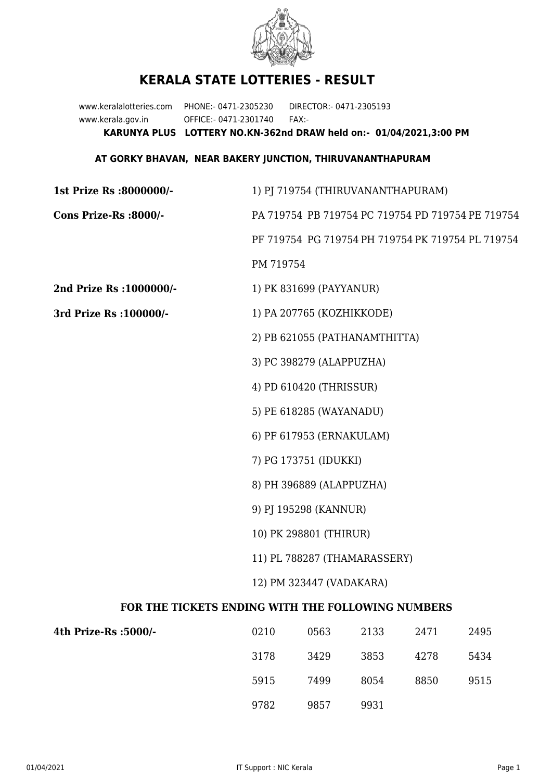

## **KERALA STATE LOTTERIES - RESULT**

www.keralalotteries.com PHONE:- 0471-2305230 DIRECTOR:- 0471-2305193 www.kerala.gov.in OFFICE:- 0471-2301740 FAX:- **KARUNYA PLUS LOTTERY NO.KN-362nd DRAW held on:- 01/04/2021,3:00 PM**

## **AT GORKY BHAVAN, NEAR BAKERY JUNCTION, THIRUVANANTHAPURAM**

| 1st Prize Rs :8000000/-                           | 1) PJ 719754 (THIRUVANANTHAPURAM)                                                                      |      |      |      |      |  |  |
|---------------------------------------------------|--------------------------------------------------------------------------------------------------------|------|------|------|------|--|--|
| Cons Prize-Rs :8000/-                             | PA 719754 PB 719754 PC 719754 PD 719754 PE 719754<br>PF 719754 PG 719754 PH 719754 PK 719754 PL 719754 |      |      |      |      |  |  |
|                                                   |                                                                                                        |      |      |      |      |  |  |
|                                                   | PM 719754                                                                                              |      |      |      |      |  |  |
| 2nd Prize Rs : 1000000/-                          | 1) PK 831699 (PAYYANUR)                                                                                |      |      |      |      |  |  |
| 3rd Prize Rs : 100000/-                           | 1) PA 207765 (KOZHIKKODE)                                                                              |      |      |      |      |  |  |
|                                                   | 2) PB 621055 (PATHANAMTHITTA)<br>3) PC 398279 (ALAPPUZHA)<br>4) PD 610420 (THRISSUR)                   |      |      |      |      |  |  |
|                                                   |                                                                                                        |      |      |      |      |  |  |
|                                                   |                                                                                                        |      |      |      |      |  |  |
|                                                   | 5) PE 618285 (WAYANADU)                                                                                |      |      |      |      |  |  |
|                                                   | 6) PF 617953 (ERNAKULAM)                                                                               |      |      |      |      |  |  |
|                                                   | 7) PG 173751 (IDUKKI)                                                                                  |      |      |      |      |  |  |
|                                                   | 8) PH 396889 (ALAPPUZHA)                                                                               |      |      |      |      |  |  |
|                                                   | 9) PJ 195298 (KANNUR)                                                                                  |      |      |      |      |  |  |
|                                                   | 10) PK 298801 (THIRUR)                                                                                 |      |      |      |      |  |  |
|                                                   | 11) PL 788287 (THAMARASSERY)                                                                           |      |      |      |      |  |  |
|                                                   | 12) PM 323447 (VADAKARA)                                                                               |      |      |      |      |  |  |
| FOR THE TICKETS ENDING WITH THE FOLLOWING NUMBERS |                                                                                                        |      |      |      |      |  |  |
| 4th Prize-Rs :5000/-                              | 0210                                                                                                   | 0563 | 2133 | 2471 | 2495 |  |  |
|                                                   | 3178                                                                                                   | 3429 | 3853 | 4278 | 5434 |  |  |

9782 9857 9931

5915 7499 8054 8850 9515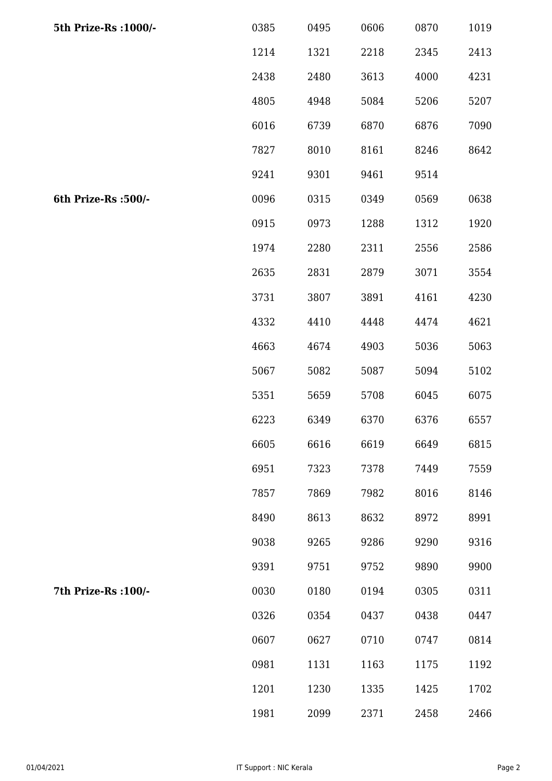| 5th Prize-Rs : 1000/- | 0385 | 0495 | 0606 | 0870 | 1019 |
|-----------------------|------|------|------|------|------|
|                       | 1214 | 1321 | 2218 | 2345 | 2413 |
|                       | 2438 | 2480 | 3613 | 4000 | 4231 |
|                       | 4805 | 4948 | 5084 | 5206 | 5207 |
|                       | 6016 | 6739 | 6870 | 6876 | 7090 |
|                       | 7827 | 8010 | 8161 | 8246 | 8642 |
|                       | 9241 | 9301 | 9461 | 9514 |      |
| 6th Prize-Rs :500/-   | 0096 | 0315 | 0349 | 0569 | 0638 |
|                       | 0915 | 0973 | 1288 | 1312 | 1920 |
|                       | 1974 | 2280 | 2311 | 2556 | 2586 |
|                       | 2635 | 2831 | 2879 | 3071 | 3554 |
|                       | 3731 | 3807 | 3891 | 4161 | 4230 |
|                       | 4332 | 4410 | 4448 | 4474 | 4621 |
|                       | 4663 | 4674 | 4903 | 5036 | 5063 |
|                       | 5067 | 5082 | 5087 | 5094 | 5102 |
|                       | 5351 | 5659 | 5708 | 6045 | 6075 |
|                       | 6223 | 6349 | 6370 | 6376 | 6557 |
|                       | 6605 | 6616 | 6619 | 6649 | 6815 |
|                       | 6951 | 7323 | 7378 | 7449 | 7559 |
|                       | 7857 | 7869 | 7982 | 8016 | 8146 |
|                       | 8490 | 8613 | 8632 | 8972 | 8991 |
|                       | 9038 | 9265 | 9286 | 9290 | 9316 |
|                       | 9391 | 9751 | 9752 | 9890 | 9900 |
| 7th Prize-Rs : 100/-  | 0030 | 0180 | 0194 | 0305 | 0311 |
|                       | 0326 | 0354 | 0437 | 0438 | 0447 |
|                       | 0607 | 0627 | 0710 | 0747 | 0814 |
|                       | 0981 | 1131 | 1163 | 1175 | 1192 |
|                       | 1201 | 1230 | 1335 | 1425 | 1702 |
|                       | 1981 | 2099 | 2371 | 2458 | 2466 |